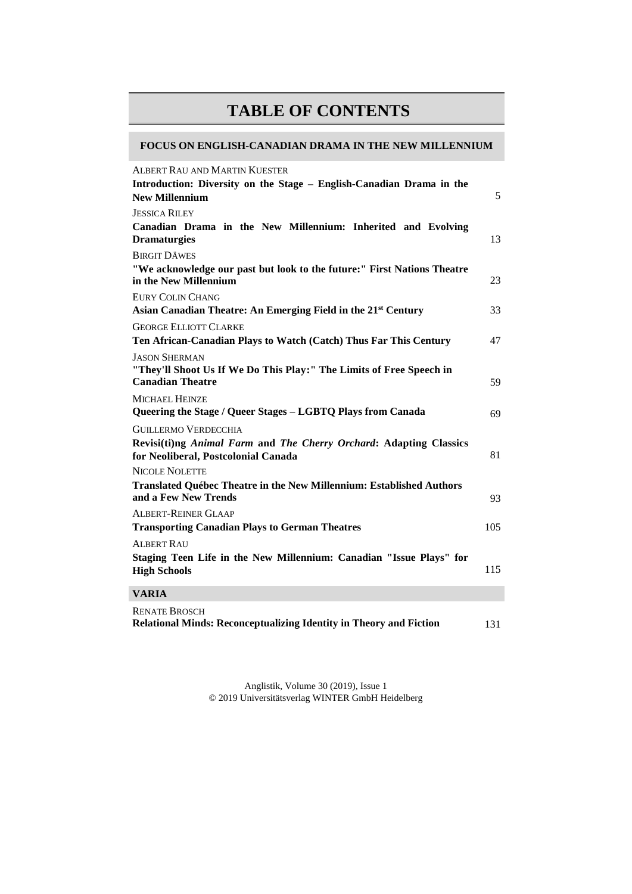## **TABLE OF CONTENTS**

## **FOCUS ON ENGLISH-CANADIAN DRAMA IN THE NEW MILLENNIUM**

| <b>ALBERT RAU AND MARTIN KUESTER</b>                                                                      |     |
|-----------------------------------------------------------------------------------------------------------|-----|
| Introduction: Diversity on the Stage - English-Canadian Drama in the                                      |     |
| <b>New Millennium</b>                                                                                     | 5   |
| <b>JESSICA RILEY</b>                                                                                      |     |
| Canadian Drama in the New Millennium: Inherited and Evolving<br><b>Dramaturgies</b>                       | 13  |
| <b>BIRGIT DÄWES</b>                                                                                       |     |
| "We acknowledge our past but look to the future:" First Nations Theatre<br>in the New Millennium          | 23  |
| <b>EURY COLIN CHANG</b>                                                                                   |     |
| Asian Canadian Theatre: An Emerging Field in the 21 <sup>st</sup> Century                                 | 33  |
| <b>GEORGE ELLIOTT CLARKE</b>                                                                              |     |
| Ten African-Canadian Plays to Watch (Catch) Thus Far This Century                                         | 47  |
| <b>JASON SHERMAN</b>                                                                                      |     |
| "They'll Shoot Us If We Do This Play:" The Limits of Free Speech in<br><b>Canadian Theatre</b>            | 59  |
| <b>MICHAEL HEINZE</b><br>Queering the Stage / Queer Stages - LGBTQ Plays from Canada                      | 69  |
| <b>GUILLERMO VERDECCHIA</b>                                                                               |     |
| Revisi(ti)ng Animal Farm and The Cherry Orchard: Adapting Classics<br>for Neoliberal, Postcolonial Canada | 81  |
| <b>NICOLE NOLETTE</b>                                                                                     |     |
| <b>Translated Québec Theatre in the New Millennium: Established Authors</b><br>and a Few New Trends       | 93  |
| <b>ALBERT-REINER GLAAP</b>                                                                                |     |
| <b>Transporting Canadian Plays to German Theatres</b>                                                     | 105 |
| <b>ALBERT RAU</b>                                                                                         |     |
| Staging Teen Life in the New Millennium: Canadian "Issue Plays" for<br><b>High Schools</b>                | 115 |
| <b>VARIA</b>                                                                                              |     |
| <b>RENATE BROSCH</b>                                                                                      |     |

**Relational Minds: Reconceptualizing Identity in Theory and Fiction** 131